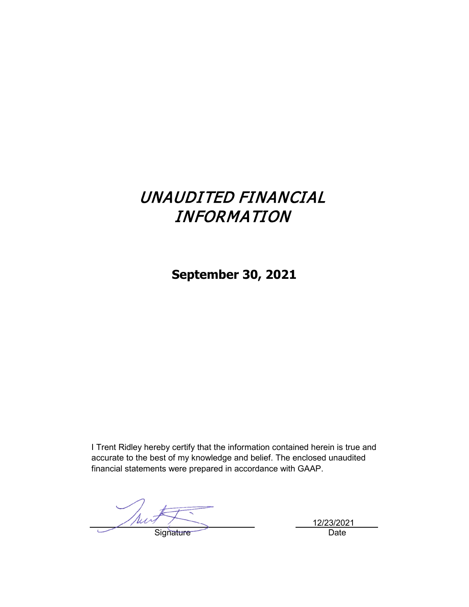# UNAUDITED FINANCIAL INFORMATION

**September 30, 2021**

I Trent Ridley hereby certify that the information contained herein is true and accurate to the best of my knowledge and belief. The enclosed unaudited financial statements were prepared in accordance with GAAP.

Nut Signature Date

12/23/2021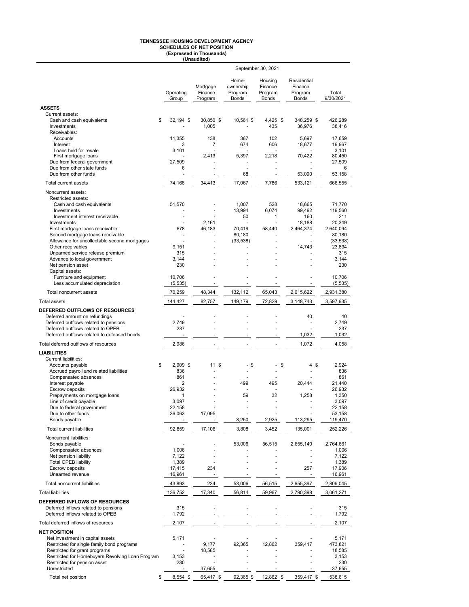## **TENNESSEE HOUSING DEVELOPMENT AGENCY SCHEDULES OF NET POSITION (Expressed in Thousands) (Unaudited)**

|                                                                                                           |                             |                                |                                               | September 30, 2021                            |                                                   |                     |
|-----------------------------------------------------------------------------------------------------------|-----------------------------|--------------------------------|-----------------------------------------------|-----------------------------------------------|---------------------------------------------------|---------------------|
|                                                                                                           | Operating<br>Group          | Mortgage<br>Finance<br>Program | Home-<br>ownership<br>Program<br><b>Bonds</b> | Housing<br>Finance<br>Program<br><b>Bonds</b> | Residential<br>Finance<br>Program<br><b>Bonds</b> | Total<br>9/30/2021  |
| <b>ASSETS</b>                                                                                             |                             |                                |                                               |                                               |                                                   |                     |
| Current assets:<br>\$<br>Cash and cash equivalents<br>Investments<br>Receivables:                         | 32,194 \$                   | 30,850 \$<br>1,005             | 10.561 \$                                     | $4,425$ \$<br>435                             | 348,259 \$<br>36,976                              | 426,289<br>38,416   |
| Accounts<br>Interest                                                                                      | 11,355<br>3                 | 138<br>7                       | 367<br>674                                    | 102<br>606                                    | 5,697<br>18,677                                   | 17,659<br>19,967    |
| Loans held for resale                                                                                     | 3,101                       |                                |                                               |                                               |                                                   | 3,101               |
| First mortgage loans<br>Due from federal government                                                       | 27,509                      | 2.413                          | 5,397                                         | 2,218                                         | 70,422                                            | 80,450<br>27,509    |
| Due from other state funds<br>Due from other funds                                                        | 6<br>$\ddot{\phantom{1}}$   | $\blacksquare$                 | ÷,<br>68                                      | ä,<br>$\blacksquare$                          | 53,090                                            | 6<br>53,158         |
| <b>Total current assets</b>                                                                               | 74,168                      | 34,413                         | 17,067                                        | 7,786                                         | 533,121                                           | 666,555             |
| Noncurrent assets:                                                                                        |                             |                                |                                               |                                               |                                                   |                     |
| Restricted assets:<br>Cash and cash equivalents<br>Investments                                            | 51,570                      | ä,                             | 1,007<br>13,994                               | 528<br>6,074                                  | 18,665<br>99,492                                  | 71,770<br>119,560   |
| Investment interest receivable                                                                            | $\overline{a}$              | 2.161                          | 50<br>$\ddot{\phantom{1}}$                    | 1<br>ä,                                       | 160                                               | 211                 |
| Investments<br>First mortgage loans receivable                                                            | $\ddot{\phantom{0}}$<br>678 | 46.183                         | 70,419                                        | 58,440                                        | 18,188<br>2,464,374                               | 20,349<br>2,640,094 |
| Second mortgage loans receivable<br>Allowance for uncollectable second mortgages                          | ä,                          |                                | 80,180                                        |                                               | $\blacksquare$                                    | 80,180              |
| Other receivables                                                                                         | 9,151                       |                                | (33, 538)                                     |                                               | 14,743                                            | (33, 538)<br>23,894 |
| Unearned service release premium                                                                          | 315                         |                                |                                               |                                               |                                                   | 315                 |
| Advance to local government<br>Net pension asset                                                          | 3,144<br>230                |                                |                                               |                                               |                                                   | 3,144<br>230        |
| Capital assets:                                                                                           |                             |                                |                                               |                                               |                                                   |                     |
| Furniture and equipment<br>Less accumulated depreciation                                                  | 10.706<br>(5, 535)          | $\blacksquare$                 | $\frac{1}{2}$                                 | $\blacksquare$                                |                                                   | 10,706<br>(5, 535)  |
| Total noncurrent assets                                                                                   | 70,259                      | 48,344                         | 132,112                                       | 65,043                                        | 2,615,622                                         | 2,931,380           |
| <b>Total assets</b>                                                                                       | 144,427                     | 82,757                         | 149,179                                       | 72,829                                        | 3,148,743                                         | 3,597,935           |
| DEFERRED OUTFLOWS OF RESOURCES                                                                            |                             |                                |                                               |                                               |                                                   |                     |
| Deferred amount on refundings                                                                             | ÷,                          |                                |                                               |                                               | 40                                                | 40                  |
| Deferred outflows related to pensions                                                                     | 2,749                       |                                |                                               |                                               | ÷,                                                | 2,749               |
| Deferred outflows related to OPEB<br>Deferred outflows related to defeased bonds                          | 237                         |                                | $\overline{\phantom{a}}$                      |                                               | 1,032                                             | 237<br>1,032        |
| Total deferred outflows of resources                                                                      | 2,986                       | $\blacksquare$                 | $\overline{\phantom{a}}$                      |                                               | 1,072                                             | 4,058               |
| <b>LIABILITIES</b>                                                                                        |                             |                                |                                               |                                               |                                                   |                     |
| <b>Current liabilities:</b>                                                                               |                             |                                |                                               |                                               |                                                   |                     |
| Accounts payable<br>\$                                                                                    | 2,909 \$                    | 11S                            | \$<br>$\blacksquare$                          | \$                                            | 4\$                                               | 2,924               |
| Accrued payroll and related liabilities<br>Compensated absences                                           | 836<br>861                  |                                |                                               |                                               |                                                   | 836<br>861          |
| Interest payable                                                                                          | $\overline{2}$              |                                | 499                                           | 495                                           | 20,444                                            | 21,440              |
| Escrow deposits                                                                                           | 26,932                      |                                |                                               |                                               |                                                   | 26,932              |
| Prepayments on mortgage loans<br>Line of credit payable                                                   | 1<br>3,097                  |                                | 59                                            | 32<br>$\overline{\phantom{a}}$                | 1,258                                             | 1,350<br>3,097      |
| Due to federal government                                                                                 | 22,158                      |                                |                                               |                                               |                                                   | 22,158              |
| Due to other funds                                                                                        | 36,063                      | 17,095                         |                                               |                                               |                                                   | 53,158              |
| Bonds payable                                                                                             |                             |                                | 3,250                                         | 2,925                                         | 113,295                                           | 119,470             |
| <b>Total current liabilities</b>                                                                          | 92,859                      | 17,106                         | 3,808                                         | 3,452                                         | 135,001                                           | 252,226             |
| Noncurrent liabilities:<br>Bonds payable                                                                  |                             |                                | 53,006                                        | 56,515                                        | 2,655,140                                         | 2,764,661           |
| Compensated absences<br>Net pension liability                                                             | 1,006<br>7,122              |                                |                                               |                                               |                                                   | 1,006<br>7,122      |
| <b>Total OPEB liability</b>                                                                               | 1,389                       |                                |                                               |                                               |                                                   | 1,389               |
| <b>Escrow deposits</b>                                                                                    | 17,415                      | 234                            |                                               |                                               | 257                                               | 17,906              |
| Unearned revenue                                                                                          | 16,961                      |                                |                                               |                                               | $\overline{\phantom{a}}$                          | 16,961              |
| Total noncurrent liabilities<br><b>Total liabilities</b>                                                  | 43,893                      | 234                            | 53,006                                        | 56,515                                        | 2,655,397                                         | 2,809,045           |
|                                                                                                           | 136,752                     | 17,340                         | 56,814                                        | 59,967                                        | 2,790,398                                         | 3,061,271           |
| DEFERRED INFLOWS OF RESOURCES<br>Deferred inflows related to pensions<br>Deferred inflows related to OPEB | 315<br>1,792                | ä,<br>$\overline{\phantom{a}}$ | ä,<br>$\overline{\phantom{a}}$                | ä,<br>$\blacksquare$                          |                                                   | 315<br>1,792        |
| Total deferred inflows of resources                                                                       | 2,107                       | $\overline{\phantom{a}}$       | $\overline{\phantom{a}}$                      |                                               |                                                   | 2,107               |
| <b>NET POSITION</b>                                                                                       |                             |                                |                                               |                                               |                                                   |                     |
| Net investment in capital assets                                                                          | 5,171                       |                                |                                               |                                               |                                                   | 5,171               |
| Restricted for single family bond programs<br>Restricted for grant programs                               | ٠<br>$\ddot{\phantom{0}}$   | 9,177<br>18,585                | 92,365                                        | 12,862                                        | 359,417                                           | 473,821<br>18,585   |
| Restricted for Homebuyers Revolving Loan Program                                                          | 3,153                       |                                |                                               |                                               |                                                   | 3,153               |
| Restricted for pension asset                                                                              | 230                         | $\blacksquare$                 |                                               |                                               |                                                   | 230                 |
| Unrestricted                                                                                              |                             | 37,655                         |                                               |                                               |                                                   | 37,655              |
| Total net position<br>\$                                                                                  | 8,554 \$                    | 65,417 \$                      | 92,365 \$                                     | 12,862 \$                                     | 359,417 \$                                        | 538,615             |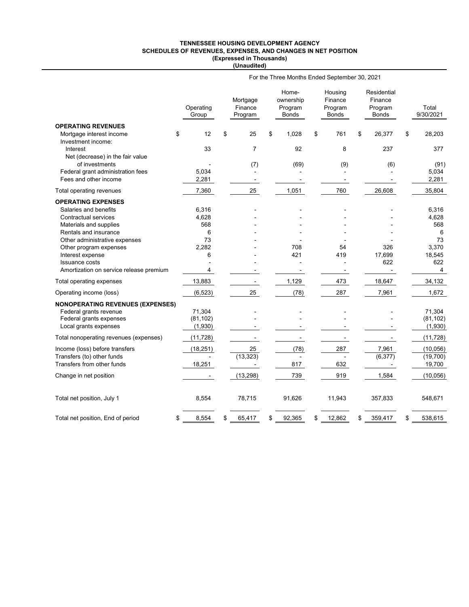#### **TENNESSEE HOUSING DEVELOPMENT AGENCY SCHEDULES OF REVENUES, EXPENSES, AND CHANGES IN NET POSITION (Expressed in Thousands) (Unaudited)**

|                                                            | For the Three Months Ended September 30, 2021 |    |                                |    |                                        |    |                                        |    |                                                   |    |                    |  |  |
|------------------------------------------------------------|-----------------------------------------------|----|--------------------------------|----|----------------------------------------|----|----------------------------------------|----|---------------------------------------------------|----|--------------------|--|--|
|                                                            | Operating<br>Group                            |    | Mortgage<br>Finance<br>Program |    | Home-<br>ownership<br>Program<br>Bonds |    | Housing<br>Finance<br>Program<br>Bonds |    | Residential<br>Finance<br>Program<br><b>Bonds</b> |    | Total<br>9/30/2021 |  |  |
| <b>OPERATING REVENUES</b>                                  |                                               |    |                                |    |                                        |    |                                        |    |                                                   |    |                    |  |  |
| Mortgage interest income                                   | 12<br>\$                                      | \$ | 25                             | \$ | 1,028                                  | \$ | 761                                    | \$ | 26,377                                            | \$ | 28,203             |  |  |
| Investment income:                                         |                                               |    |                                |    |                                        |    |                                        |    |                                                   |    |                    |  |  |
| Interest                                                   | 33                                            |    | $\overline{7}$                 |    | 92                                     |    | 8                                      |    | 237                                               |    | 377                |  |  |
| Net (decrease) in the fair value                           |                                               |    |                                |    |                                        |    |                                        |    |                                                   |    |                    |  |  |
| of investments                                             | 5,034                                         |    | (7)                            |    | (69)                                   |    | (9)                                    |    | (6)                                               |    | (91)               |  |  |
| Federal grant administration fees<br>Fees and other income | 2,281                                         |    |                                |    |                                        |    |                                        |    |                                                   |    | 5,034<br>2,281     |  |  |
|                                                            |                                               |    |                                |    |                                        |    |                                        |    |                                                   |    |                    |  |  |
| Total operating revenues                                   | 7,360                                         |    | 25                             |    | 1,051                                  |    | 760                                    |    | 26,608                                            |    | 35,804             |  |  |
| <b>OPERATING EXPENSES</b>                                  |                                               |    |                                |    |                                        |    |                                        |    |                                                   |    |                    |  |  |
| Salaries and benefits                                      | 6,316                                         |    |                                |    |                                        |    |                                        |    |                                                   |    | 6,316              |  |  |
| Contractual services                                       | 4,628                                         |    |                                |    |                                        |    |                                        |    |                                                   |    | 4,628              |  |  |
| Materials and supplies                                     | 568                                           |    |                                |    |                                        |    |                                        |    |                                                   |    | 568                |  |  |
| Rentals and insurance                                      | 6                                             |    |                                |    |                                        |    |                                        |    |                                                   |    | 6                  |  |  |
| Other administrative expenses                              | 73                                            |    |                                |    |                                        |    |                                        |    |                                                   |    | 73                 |  |  |
| Other program expenses                                     | 2,282                                         |    |                                |    | 708                                    |    | 54                                     |    | 326                                               |    | 3,370              |  |  |
| Interest expense                                           | 6                                             |    |                                |    | 421                                    |    | 419                                    |    | 17,699                                            |    | 18,545             |  |  |
| <b>Issuance costs</b>                                      |                                               |    |                                |    |                                        |    |                                        |    | 622                                               |    | 622                |  |  |
| Amortization on service release premium                    | 4                                             |    |                                |    |                                        |    |                                        |    |                                                   |    | 4                  |  |  |
| Total operating expenses                                   | 13,883                                        |    | $\overline{\phantom{a}}$       |    | 1,129                                  |    | 473                                    |    | 18,647                                            |    | 34,132             |  |  |
| Operating income (loss)                                    | (6, 523)                                      |    | 25                             |    | (78)                                   |    | 287                                    |    | 7,961                                             |    | 1,672              |  |  |
| <b>NONOPERATING REVENUES (EXPENSES)</b>                    |                                               |    |                                |    |                                        |    |                                        |    |                                                   |    |                    |  |  |
| Federal grants revenue                                     | 71,304                                        |    |                                |    |                                        |    |                                        |    |                                                   |    | 71,304             |  |  |
| Federal grants expenses                                    | (81, 102)                                     |    |                                |    |                                        |    |                                        |    |                                                   |    | (81, 102)          |  |  |
| Local grants expenses                                      | (1,930)                                       |    |                                |    |                                        |    |                                        |    |                                                   |    | (1,930)            |  |  |
| Total nonoperating revenues (expenses)                     | (11, 728)                                     |    |                                |    | $\overline{\phantom{0}}$               |    | $\overline{\phantom{0}}$               |    |                                                   |    | (11, 728)          |  |  |
| Income (loss) before transfers                             | (18, 251)                                     |    | 25                             |    | (78)                                   |    | 287                                    |    | 7,961                                             |    | (10,056)           |  |  |
| Transfers (to) other funds                                 |                                               |    | (13, 323)                      |    |                                        |    |                                        |    | (6, 377)                                          |    | (19,700)           |  |  |
| Transfers from other funds                                 | 18,251                                        |    | $\overline{\phantom{a}}$       |    | 817                                    |    | 632                                    |    |                                                   |    | 19,700             |  |  |
| Change in net position                                     |                                               |    | (13, 298)                      |    | 739                                    |    | 919                                    |    | 1,584                                             |    | (10, 056)          |  |  |
| Total net position, July 1                                 | 8,554                                         |    | 78,715                         |    | 91,626                                 |    | 11,943                                 |    | 357,833                                           |    | 548,671            |  |  |
| Total net position, End of period                          | 8,554<br>\$                                   | \$ | 65,417                         | \$ | 92,365                                 | \$ | 12,862                                 | \$ | 359,417                                           | \$ | 538,615            |  |  |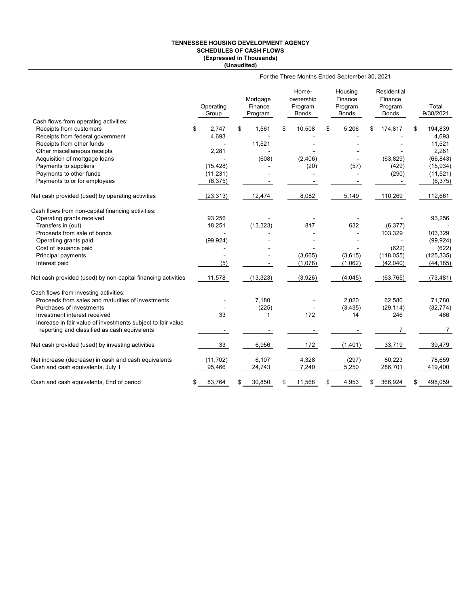#### **TENNESSEE HOUSING DEVELOPMENT AGENCY SCHEDULES OF CASH FLOWS (Expressed in Thousands) (Unaudited)**

|                                                                  | For the Three Months Ended September 30, 2021 |                    |    |                                |    |                                               |    |                                        |    |                                                   |    |                    |
|------------------------------------------------------------------|-----------------------------------------------|--------------------|----|--------------------------------|----|-----------------------------------------------|----|----------------------------------------|----|---------------------------------------------------|----|--------------------|
|                                                                  |                                               | Operating<br>Group |    | Mortgage<br>Finance<br>Program |    | Home-<br>ownership<br>Program<br><b>Bonds</b> |    | Housing<br>Finance<br>Program<br>Bonds |    | Residential<br>Finance<br>Program<br><b>Bonds</b> |    | Total<br>9/30/2021 |
| Cash flows from operating activities:<br>Receipts from customers |                                               | 2.747              | \$ | 1,561                          | \$ | 10,508                                        | \$ | 5,206                                  | \$ | 174,817                                           | \$ | 194,839            |
| Receipts from federal government                                 | \$                                            | 4,693              |    |                                |    |                                               |    |                                        |    |                                                   |    | 4,693              |
| Receipts from other funds                                        |                                               |                    |    | 11,521                         |    |                                               |    |                                        |    |                                                   |    | 11,521             |
| Other miscellaneous receipts                                     |                                               | 2,281              |    |                                |    |                                               |    |                                        |    |                                                   |    | 2,281              |
| Acquisition of mortgage loans                                    |                                               |                    |    | (608)                          |    | (2,406)                                       |    |                                        |    | (63, 829)                                         |    | (66, 843)          |
| Payments to suppliers                                            |                                               | (15, 428)          |    |                                |    | (20)                                          |    | (57)                                   |    | (429)                                             |    | (15, 934)          |
| Payments to other funds                                          |                                               | (11, 231)          |    |                                |    |                                               |    |                                        |    | (290)                                             |    | (11, 521)          |
| Payments to or for employees                                     |                                               | (6, 375)           |    |                                |    |                                               |    |                                        |    |                                                   |    | (6, 375)           |
|                                                                  |                                               |                    |    |                                |    |                                               |    |                                        |    |                                                   |    |                    |
| Net cash provided (used) by operating activities                 |                                               | (23, 313)          |    | 12,474                         |    | 8,082                                         |    | 5,149                                  |    | 110,269                                           |    | 112,661            |
| Cash flows from non-capital financing activities:                |                                               |                    |    |                                |    |                                               |    |                                        |    |                                                   |    |                    |
| Operating grants received                                        |                                               | 93,256             |    |                                |    |                                               |    |                                        |    |                                                   |    | 93,256             |
| Transfers in (out)                                               |                                               | 18,251             |    | (13, 323)                      |    | 817                                           |    | 632                                    |    | (6, 377)                                          |    |                    |
| Proceeds from sale of bonds                                      |                                               |                    |    |                                |    |                                               |    |                                        |    | 103,329                                           |    | 103,329            |
| Operating grants paid                                            |                                               | (99, 924)          |    |                                |    |                                               |    |                                        |    |                                                   |    | (99, 924)          |
| Cost of issuance paid                                            |                                               |                    |    |                                |    |                                               |    |                                        |    | (622)                                             |    | (622)              |
| Principal payments                                               |                                               | $\blacksquare$     |    |                                |    | (3,665)                                       |    | (3,615)                                |    | (118, 055)                                        |    | (125, 335)         |
| Interest paid                                                    |                                               | (5)                |    |                                |    | (1,078)                                       |    | (1,062)                                |    | (42,040)                                          |    | (44, 185)          |
| Net cash provided (used) by non-capital financing activities     |                                               | 11,578             |    | (13, 323)                      |    | (3,926)                                       |    | (4,045)                                |    | (63, 765)                                         |    | (73, 481)          |
| Cash flows from investing activities:                            |                                               |                    |    |                                |    |                                               |    |                                        |    |                                                   |    |                    |
| Proceeds from sales and maturities of investments                |                                               |                    |    | 7,180                          |    |                                               |    | 2,020                                  |    | 62,580                                            |    | 71,780             |
| Purchases of investments                                         |                                               |                    |    | (225)                          |    |                                               |    | (3, 435)                               |    | (29, 114)                                         |    | (32, 774)          |
| Investment interest received                                     |                                               | 33                 |    | 1                              |    | 172                                           |    | 14                                     |    | 246                                               |    | 466                |
| Increase in fair value of investments subject to fair value      |                                               |                    |    |                                |    |                                               |    |                                        |    |                                                   |    |                    |
| reporting and classified as cash equivalents                     |                                               |                    |    |                                |    |                                               |    |                                        |    | 7                                                 |    | 7                  |
| Net cash provided (used) by investing activities                 |                                               | 33                 |    | 6,956                          |    | 172                                           |    | (1,401)                                |    | 33,719                                            |    | 39,479             |
| Net increase (decrease) in cash and cash equivalents             |                                               | (11, 702)          |    | 6,107                          |    | 4,328                                         |    | (297)                                  |    | 80,223                                            |    | 78,659             |
| Cash and cash equivalents, July 1                                |                                               | 95,466             |    | 24,743                         |    | 7,240                                         |    | 5,250                                  |    | 286,701                                           |    | 419,400            |
| Cash and cash equivalents, End of period                         | \$                                            | 83,764             | S  | 30,850                         | \$ | 11,568                                        |    | 4,953                                  | \$ | 366,924                                           |    | 498,059            |
|                                                                  |                                               |                    |    |                                |    |                                               |    |                                        |    |                                                   |    |                    |